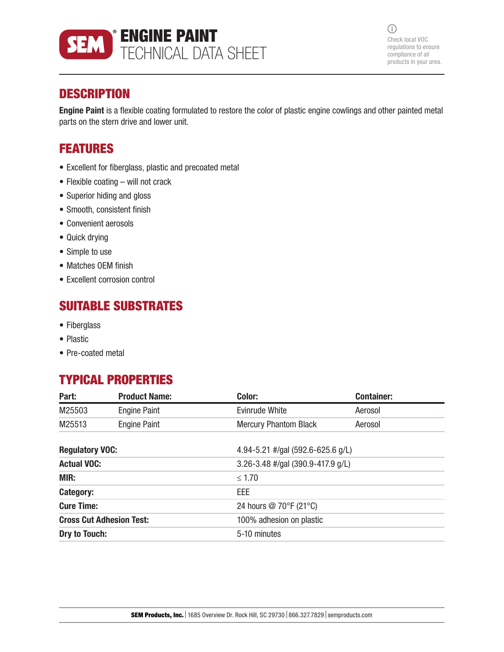

 $\odot$ Check local VOC regulations to ensure compliance of all products in your area.

# **DESCRIPTION**

Engine Paint is a flexible coating formulated to restore the color of plastic engine cowlings and other painted metal parts on the stern drive and lower unit.

# FEATURES

- Excellent for fiberglass, plastic and precoated metal
- Flexible coating will not crack
- Superior hiding and gloss
- Smooth, consistent finish
- Convenient aerosols
- Quick drying
- Simple to use
- Matches OEM finish
- Excellent corrosion control

# SUITABLE SUBSTRATES

- Fiberglass
- Plastic
- Pre-coated metal

# TYPICAL PROPERTIES

| Part:                           | <b>Product Name:</b> | Color:                            | <b>Container:</b> |  |
|---------------------------------|----------------------|-----------------------------------|-------------------|--|
| M25503                          | <b>Engine Paint</b>  | Evinrude White                    | Aerosol           |  |
| M25513                          | <b>Engine Paint</b>  | <b>Mercury Phantom Black</b>      | Aerosol           |  |
| <b>Regulatory VOC:</b>          |                      | 4.94-5.21 #/gal (592.6-625.6 g/L) |                   |  |
| <b>Actual VOC:</b>              |                      | 3.26-3.48 #/gal (390.9-417.9 g/L) |                   |  |
| <b>MIR:</b>                     |                      | $\leq 1.70$                       |                   |  |
| Category:                       |                      | EEE                               |                   |  |
| <b>Cure Time:</b>               |                      | 24 hours @ 70°F (21°C)            |                   |  |
| <b>Cross Cut Adhesion Test:</b> |                      | 100% adhesion on plastic          |                   |  |
| Dry to Touch:                   |                      | 5-10 minutes                      |                   |  |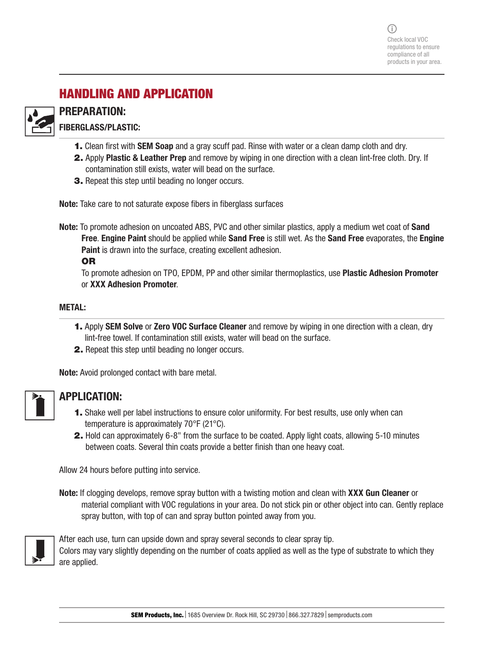# HANDLING AND APPLICATION



## PREPARATION:

FIBERGLASS/PLASTIC:

- 1. Clean first with SEM Soap and a gray scuff pad. Rinse with water or a clean damp cloth and dry.
- 2. Apply Plastic & Leather Prep and remove by wiping in one direction with a clean lint-free cloth. Dry. If contamination still exists, water will bead on the surface.
- 3. Repeat this step until beading no longer occurs.

Note: Take care to not saturate expose fibers in fiberglass surfaces

Note: To promote adhesion on uncoated ABS, PVC and other similar plastics, apply a medium wet coat of Sand Free. Engine Paint should be applied while Sand Free is still wet. As the Sand Free evaporates, the Engine **Paint** is drawn into the surface, creating excellent adhesion.

OR

To promote adhesion on TPO, EPDM, PP and other similar thermoplastics, use Plastic Adhesion Promoter or XXX Adhesion Promoter.

### METAL:

- **1.** Apply **SEM Solve or Zero VOC Surface Cleaner** and remove by wiping in one direction with a clean, dry lint-free towel. If contamination still exists, water will bead on the surface.
- 2. Repeat this step until beading no longer occurs.

Note: Avoid prolonged contact with bare metal.

## APPLICATION:

- 1. Shake well per label instructions to ensure color uniformity. For best results, use only when can temperature is approximately 70°F (21°C).
- 2. Hold can approximately 6-8" from the surface to be coated. Apply light coats, allowing 5-10 minutes between coats. Several thin coats provide a better finish than one heavy coat.

Allow 24 hours before putting into service.

Note: If clogging develops, remove spray button with a twisting motion and clean with XXX Gun Cleaner or material compliant with VOC regulations in your area. Do not stick pin or other object into can. Gently replace spray button, with top of can and spray button pointed away from you.



After each use, turn can upside down and spray several seconds to clear spray tip. Colors may vary slightly depending on the number of coats applied as well as the type of substrate to which they are applied.